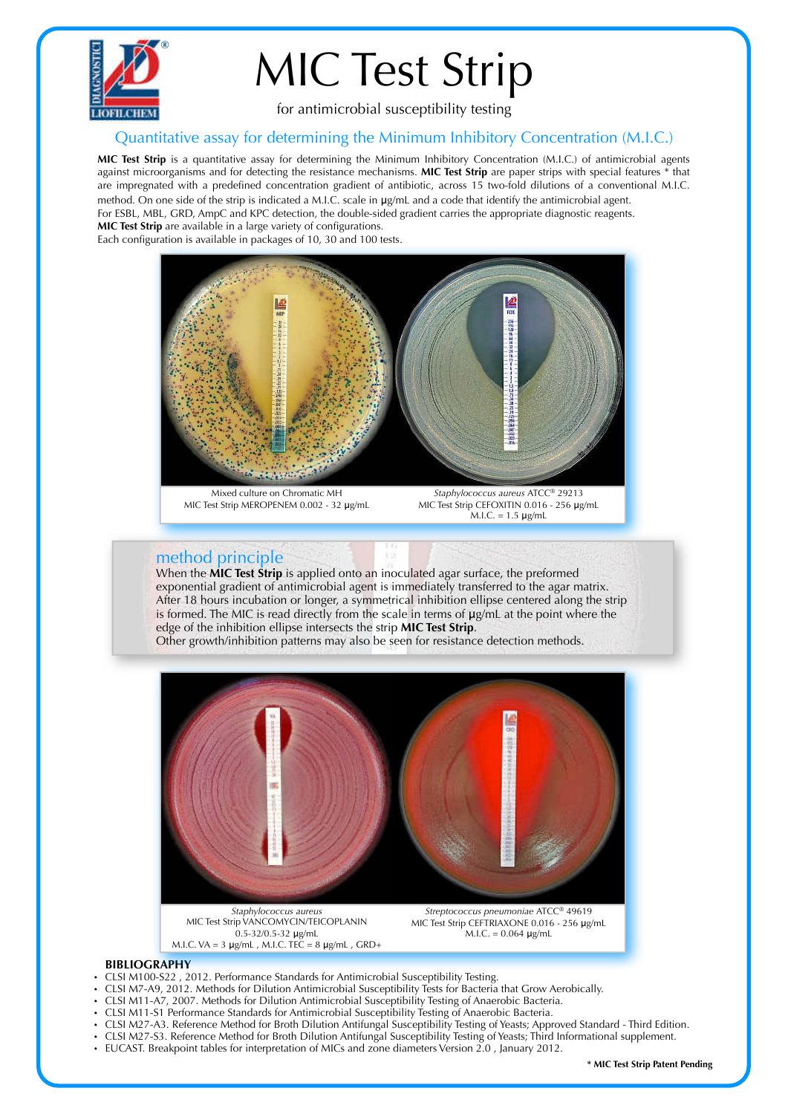

## MIC Test Strip

for antimicrobial susceptibility testing

## Quantitative assay for determining the Minimum Inhibitory Concentration (M.I.C.)

**MIC Test Strip** is a quantitative assay for determining the Minimum Inhibitory Concentration (M.I.C.) of antimicrobial agents against microorganisms and for detecting the resistance mechanisms. **MIC Test Strip** are paper strips with special features \* that are impregnated with a predefined concentration gradient of antibiotic, across 15 two-fold dilutions of a conventional M.I.C. method. On one side of the strip is indicated a M.I.C. scale in μg/mL and a code that identify the antimicrobial agent. For ESBL, MBL, GRD, AmpC and KPC detection, the double-sided gradient carries the appropriate diagnostic reagents. **MIC Test Strip** are available in a large variety of configurations.

Each configuration is available in packages of 10, 30 and 100 tests.



Mixed culture on Chromatic MH MIC Test Strip MEROPENEM 0.002 - 32 μg/mL

*Staphylococcus aureus* ATCC® 29213 MIC Test Strip CEFOXITIN 0.016 - 256 μg/mL  $M.I.C. = 1.5 \mu g/mL$ 

## method principle

When the **MIC Test Strip** is applied onto an inoculated agar surface, the preformed exponential gradient of antimicrobial agent is immediately transferred to the agar matrix. After 18 hours incubation or longer, a symmetrical inhibition ellipse centered along the strip is formed. The MIC is read directly from the scale in terms of μg/mL at the point where the edge of the inhibition ellipse intersects the strip **MIC Test Strip**.

Other growth/inhibition patterns may also be seen for resistance detection methods.



MIC Test Strip VANCOMYCIN/TEICOPLANIN 0.5-32/0.5-32 μg/mL M.I.C. VA = 3 μg/mL , M.I.C. TEC = 8 μg/mL , GRD+

MIC Test Strip CEFTRIAXONE 0.016 - 256 μg/mL M.I.C. = 0.064 μg/mL

## **BIBLIOGRAPHY**

- CLSI M100-S22 , 2012. Performance Standards for Antimicrobial Susceptibility Testing.
- CLSI M7-A9, 2012. Methods for Dilution Antimicrobial Susceptibility Tests for Bacteria that Grow Aerobically.
- CLSI M11-A7, 2007. Methods for Dilution Antimicrobial Susceptibility Testing of Anaerobic Bacteria.
- CLSI M11-S1 Performance Standards for Antimicrobial Susceptibility Testing of Anaerobic Bacteria.
- CLSI M27-A3. Reference Method for Broth Dilution Antifungal Susceptibility Testing of Yeasts; Approved Standard Third Edition.
- CLSI M27-S3. Reference Method for Broth Dilution Antifungal Susceptibility Testing of Yeasts; Third Informational supplement.<br>• ELICAST, Breakpoint tables for interpretation of MICs and zone diameters Version 2.0. Januar
- EUCAST. Breakpoint tables for interpretation of MICs and zone diameters Version 2.0 , January 2012.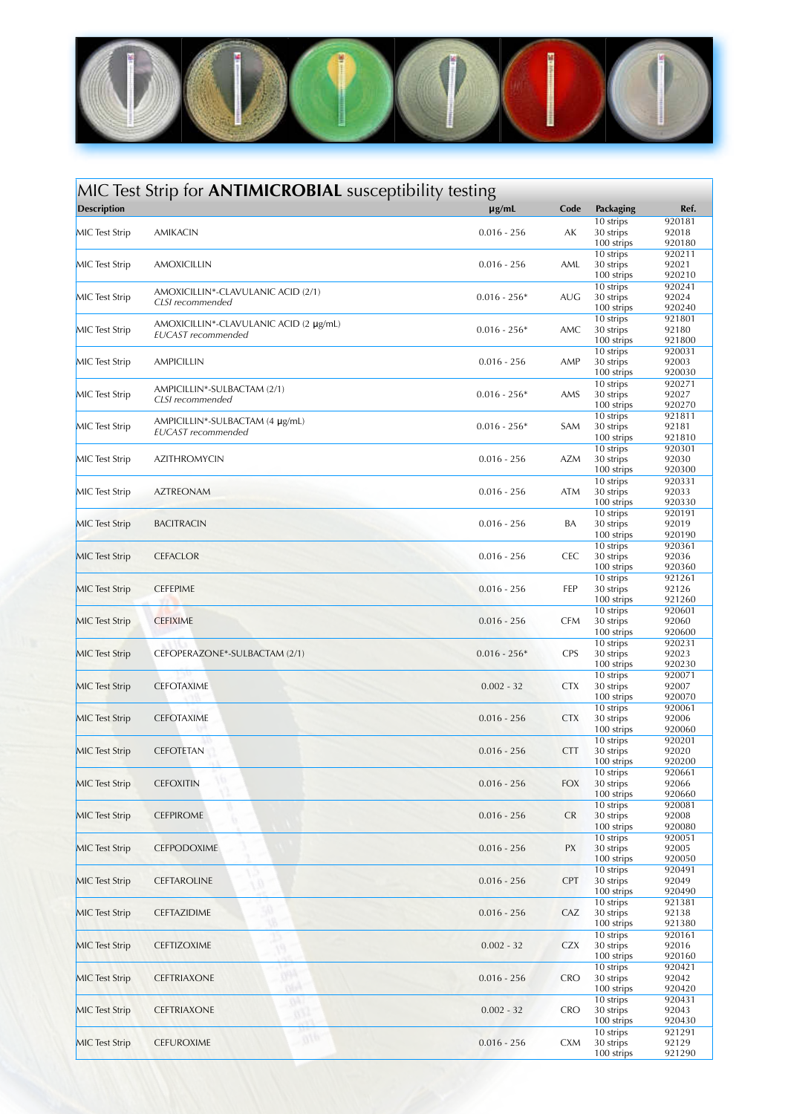

| MIC Test Strip for <b>ANTIMICROBIAL</b> susceptibility testing |                                                              |                |            |                                      |                           |  |
|----------------------------------------------------------------|--------------------------------------------------------------|----------------|------------|--------------------------------------|---------------------------|--|
| <b>Description</b>                                             |                                                              | $\mu$ g/mL     | Code       | Packaging                            | Ref.                      |  |
| <b>MIC</b> Test Strip                                          | AMIKACIN                                                     | $0.016 - 256$  | АK         | 10 strips<br>30 strips<br>100 strips | 920181<br>92018<br>920180 |  |
| <b>MIC</b> Test Strip                                          | <b>AMOXICILLIN</b>                                           | $0.016 - 256$  | AML        | 10 strips<br>30 strips<br>100 strips | 920211<br>92021<br>920210 |  |
| <b>MIC</b> Test Strip                                          | AMOXICILLIN*-CLAVULANIC ACID (2/1)<br>CLSI recommended       | $0.016 - 256*$ | <b>AUG</b> | 10 strips<br>30 strips<br>100 strips | 920241<br>92024<br>920240 |  |
| <b>MIC</b> Test Strip                                          | AMOXICILLIN*-CLAVULANIC ACID (2 µg/mL)<br>EUCAST recommended | $0.016 - 256*$ | AMC        | 10 strips<br>30 strips<br>100 strips | 921801<br>92180<br>921800 |  |
| <b>MIC</b> Test Strip                                          | AMPICILLIN                                                   | $0.016 - 256$  | AMP        | 10 strips<br>30 strips               | 920031<br>92003           |  |
| <b>MIC</b> Test Strip                                          | AMPICILLIN*-SULBACTAM (2/1)<br>CLSI recommended              | $0.016 - 256*$ | AMS        | 100 strips<br>10 strips<br>30 strips | 920030<br>920271<br>92027 |  |
| <b>MIC</b> Test Strip                                          | AMPICILLIN*-SULBACTAM (4 µg/mL)<br>EUCAST recommended        | $0.016 - 256*$ | SAM        | 100 strips<br>10 strips<br>30 strips | 920270<br>921811<br>92181 |  |
| <b>MIC</b> Test Strip                                          | <b>AZITHROMYCIN</b>                                          | $0.016 - 256$  | AZM        | 100 strips<br>10 strips<br>30 strips | 921810<br>920301<br>92030 |  |
| MIC Test Strip                                                 | <b>AZTREONAM</b>                                             | $0.016 - 256$  | ATM        | 100 strips<br>10 strips<br>30 strips | 920300<br>920331<br>92033 |  |
| <b>MIC</b> Test Strip                                          | <b>BACITRACIN</b>                                            | $0.016 - 256$  | BA         | 100 strips<br>10 strips<br>30 strips | 920330<br>920191<br>92019 |  |
| <b>MIC</b> Test Strip                                          | <b>CEFACLOR</b>                                              | $0.016 - 256$  | <b>CEC</b> | 100 strips<br>10 strips<br>30 strips | 920190<br>920361<br>92036 |  |
|                                                                |                                                              |                |            | 100 strips<br>10 strips              | 920360<br>921261          |  |
| <b>MIC</b> Test Strip                                          | <b>CEFEPIME</b>                                              | $0.016 - 256$  | FEP        | 30 strips<br>100 strips<br>10 strips | 92126<br>921260<br>920601 |  |
| <b>MIC</b> Test Strip                                          | <b>CEFIXIME</b>                                              | $0.016 - 256$  | <b>CFM</b> | 30 strips<br>100 strips<br>10 strips | 92060<br>920600<br>920231 |  |
| <b>MIC</b> Test Strip                                          | CEFOPERAZONE*-SULBACTAM (2/1)                                | $0.016 - 256*$ | <b>CPS</b> | 30 strips<br>100 strips<br>10 strips | 92023<br>920230<br>920071 |  |
| <b>MIC</b> Test Strip                                          | <b>CEFOTAXIME</b>                                            | $0.002 - 32$   | <b>CTX</b> | 30 strips<br>100 strips<br>10 strips | 92007<br>920070<br>920061 |  |
| <b>MIC</b> Test Strip                                          | <b>CEFOTAXIME</b>                                            | $0.016 - 256$  | <b>CTX</b> | 30 strips<br>100 strips              | 92006<br>920060           |  |
| <b>MIC</b> Test Strip                                          | <b>CEFOTETAN</b>                                             | $0.016 - 256$  | <b>CTT</b> | 10 strips<br>30 strips<br>100 strips | 920201<br>92020<br>920200 |  |
| <b>MIC</b> Test Strip                                          | <b>CEFOXITIN</b>                                             | $0.016 - 256$  | <b>FOX</b> | 10 strips<br>30 strips<br>100 strips | 920661<br>92066<br>920660 |  |
| <b>MIC</b> Test Strip                                          | <b>CEFPIROME</b>                                             | $0.016 - 256$  | <b>CR</b>  | 10 strips<br>30 strips<br>100 strips | 920081<br>92008<br>920080 |  |
| <b>MIC</b> Test Strip                                          | <b>CEFPODOXIME</b>                                           | $0.016 - 256$  | PХ         | 10 strips<br>30 strips<br>100 strips | 920051<br>92005<br>920050 |  |
| <b>MIC</b> Test Strip                                          | <b>CEFTAROLINE</b>                                           | $0.016 - 256$  | <b>CPT</b> | 10 strips<br>30 strips<br>100 strips | 920491<br>92049<br>920490 |  |
| <b>MIC</b> Test Strip                                          | CEFTAZIDIME                                                  | $0.016 - 256$  | CAZ        | 10 strips<br>30 strips<br>100 strips | 921381<br>92138<br>921380 |  |
| <b>MIC Test Strip</b>                                          | <b>CEFTIZOXIME</b>                                           | $0.002 - 32$   | <b>CZX</b> | 10 strips<br>30 strips               | 920161<br>92016           |  |
| <b>MIC Test Strip</b>                                          | m<br><b>CEFTRIAXONE</b>                                      | $0.016 - 256$  | <b>CRO</b> | 100 strips<br>10 strips<br>30 strips | 920160<br>920421<br>92042 |  |
| <b>MIC Test Strip</b>                                          | nsa<br>w<br><b>CEFTRIAXONE</b><br>63 I                       | $0.002 - 32$   | <b>CRO</b> | 100 strips<br>10 strips<br>30 strips | 920420<br>920431<br>92043 |  |
| <b>MIC</b> Test Strip                                          | 01p<br><b>CEFUROXIME</b>                                     | $0.016 - 256$  | <b>CXM</b> | 100 strips<br>10 strips<br>30 strips | 920430<br>921291<br>92129 |  |
|                                                                |                                                              |                |            | 100 strips                           | 921290                    |  |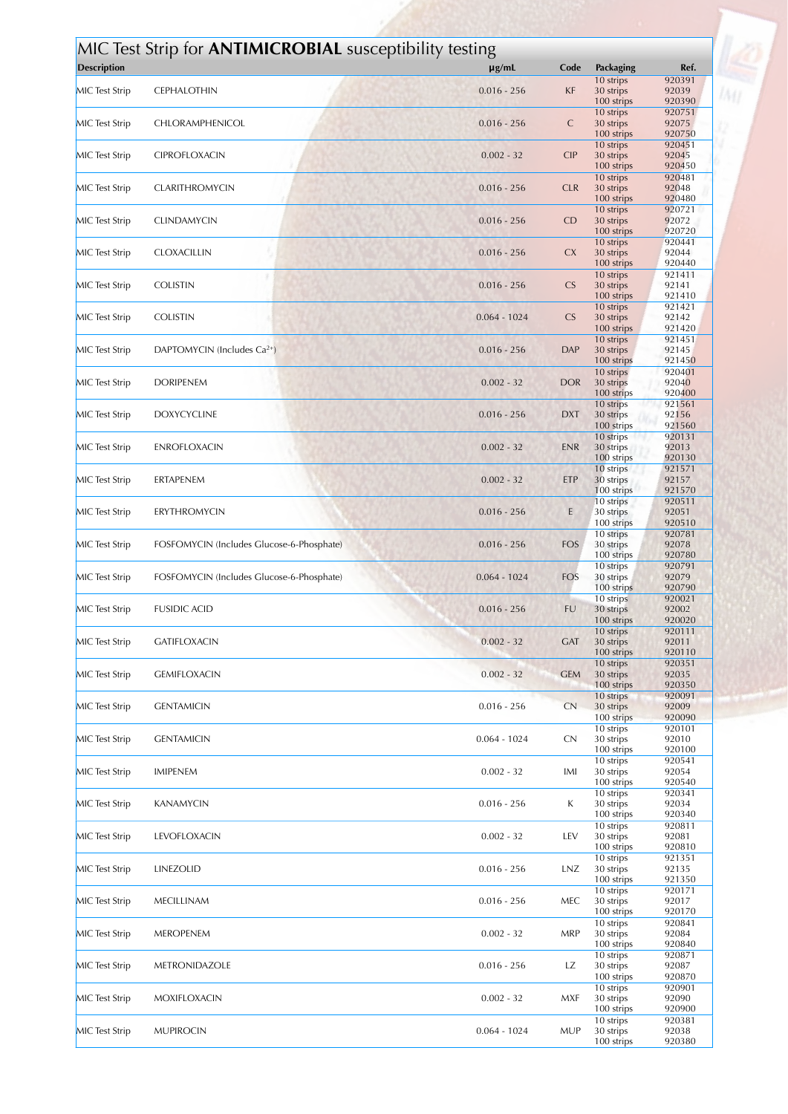| <b>Description</b>    | MIC Test Strip for <b>ANTIMICROBIAL</b> susceptibility testing | $\mu$ g/mL     | Code       | Packaging               | Ref.             |
|-----------------------|----------------------------------------------------------------|----------------|------------|-------------------------|------------------|
|                       |                                                                |                |            | 10 strips               | 920391           |
| <b>MIC</b> Test Strip | <b>CEPHALOTHIN</b>                                             | $0.016 - 256$  | KF         | 30 strips<br>100 strips | 92039<br>920390  |
| <b>MIC</b> Test Strip | CHLORAMPHENICOL                                                | $0.016 - 256$  | C          | 10 strips<br>30 strips  | 920751<br>92075  |
|                       |                                                                |                |            | 100 strips              | 920750           |
| <b>MIC</b> Test Strip | <b>CIPROFLOXACIN</b>                                           | $0.002 - 32$   | <b>CIP</b> | 10 strips<br>30 strips  | 920451<br>92045  |
|                       |                                                                |                |            | 100 strips              | 920450<br>920481 |
| <b>MIC</b> Test Strip | CLARITHROMYCIN                                                 | $0.016 - 256$  | <b>CLR</b> | 10 strips<br>30 strips  | 92048            |
|                       |                                                                |                |            | 100 strips<br>10 strips | 920480<br>920721 |
| <b>MIC</b> Test Strip | <b>CLINDAMYCIN</b>                                             | $0.016 - 256$  | CD         | 30 strips               | 92072            |
|                       |                                                                |                |            | 100 strips<br>10 strips | 920720<br>920441 |
| <b>MIC</b> Test Strip | <b>CLOXACILLIN</b>                                             | $0.016 - 256$  | <b>CX</b>  | 30 strips<br>100 strips | 92044<br>920440  |
|                       |                                                                |                |            | 10 strips               | 921411           |
| <b>MIC</b> Test Strip | <b>COLISTIN</b>                                                | $0.016 - 256$  | CS         | 30 strips<br>100 strips | 92141<br>921410  |
|                       |                                                                |                |            | 10 strips               | 921421           |
| <b>MIC</b> Test Strip | <b>COLISTIN</b>                                                | $0.064 - 1024$ | <b>CS</b>  | 30 strips<br>100 strips | 92142<br>921420  |
| MIC Test Strip        | DAPTOMYCIN (Includes $Ca^{2+}$ )                               | $0.016 - 256$  | <b>DAP</b> | 10 strips               | 921451<br>92145  |
|                       |                                                                |                |            | 30 strips<br>100 strips | 921450           |
| <b>MIC</b> Test Strip | <b>DORIPENEM</b>                                               | $0.002 - 32$   | <b>DOR</b> | 10 strips<br>30 strips  | 920401<br>92040  |
|                       |                                                                |                |            | 100 strips              | 920400           |
| <b>MIC</b> Test Strip | <b>DOXYCYCLINE</b>                                             | $0.016 - 256$  | <b>DXT</b> | 10 strips<br>30 strips  | 921561<br>92156  |
|                       |                                                                |                |            | 100 strips              | 921560           |
| <b>MIC</b> Test Strip | ENROFLOXACIN                                                   | $0.002 - 32$   | <b>ENR</b> | 10 strips<br>30 strips  | 920131<br>92013  |
|                       |                                                                |                |            | 100 strips<br>10 strips | 920130<br>921571 |
| <b>MIC</b> Test Strip | ERTAPENEM                                                      | $0.002 - 32$   | <b>ETP</b> | 30 strips               | 92157            |
|                       |                                                                |                |            | 100 strips<br>10 strips | 921570<br>920511 |
| <b>MIC</b> Test Strip | <b>ERYTHROMYCIN</b>                                            | $0.016 - 256$  | E          | 30 strips<br>100 strips | 92051<br>920510  |
|                       |                                                                |                |            | 10 strips               | 920781           |
| <b>MIC</b> Test Strip | FOSFOMYCIN (Includes Glucose-6-Phosphate)                      | $0.016 - 256$  | FOS        | 30 strips<br>100 strips | 92078<br>920780  |
|                       |                                                                |                |            | 10 strips               | 920791           |
| <b>MIC</b> Test Strip | FOSFOMYCIN (Includes Glucose-6-Phosphate)                      | $0.064 - 1024$ | FOS        | 30 strips<br>100 strips | 92079<br>920790  |
| <b>MIC</b> Test Strip | <b>FUSIDIC ACID</b>                                            | $0.016 - 256$  | <b>FU</b>  | 10 strips<br>30 strips  | 920021<br>92002  |
|                       |                                                                |                |            | 100 strips              | 920020           |
| <b>MIC</b> Test Strip | <b>GATIFLOXACIN</b>                                            | $0.002 - 32$   | <b>GAT</b> | 10 strips<br>30 strips  | 920111<br>92011  |
|                       |                                                                |                |            | 100 strips              | 920110           |
| <b>MIC</b> Test Strip | <b>GEMIFLOXACIN</b>                                            | $0.002 - 32$   | <b>GEM</b> | 10 strips<br>30 strips  | 920351<br>92035  |
|                       |                                                                |                |            | 100 strips<br>10 strips | 920350<br>920091 |
| MIC Test Strip        | <b>GENTAMICIN</b>                                              | $0.016 - 256$  | CN         | 30 strips               | 92009            |
|                       |                                                                |                |            | 100 strips<br>10 strips | 920090<br>920101 |
| <b>MIC</b> Test Strip | <b>GENTAMICIN</b>                                              | $0.064 - 1024$ | <b>CN</b>  | 30 strips<br>100 strips | 92010<br>920100  |
|                       |                                                                |                |            | 10 strips               | 920541           |
| <b>MIC</b> Test Strip | <b>IMIPENEM</b>                                                | $0.002 - 32$   | IMI        | 30 strips<br>100 strips | 92054<br>920540  |
|                       |                                                                |                |            | 10 strips               | 920341<br>92034  |
| <b>MIC</b> Test Strip | <b>KANAMYCIN</b>                                               | $0.016 - 256$  | K          | 30 strips<br>100 strips | 920340           |
| <b>MIC</b> Test Strip | LEVOFLOXACIN                                                   | $0.002 - 32$   | LEV        | 10 strips<br>30 strips  | 920811<br>92081  |
|                       |                                                                |                |            | 100 strips              | 920810           |
| <b>MIC</b> Test Strip | LINEZOLID                                                      | $0.016 - 256$  | LNZ        | 10 strips<br>30 strips  | 921351<br>92135  |
|                       |                                                                |                |            | 100 strips              | 921350<br>920171 |
| <b>MIC</b> Test Strip | MECILLINAM                                                     | $0.016 - 256$  | MEC        | 10 strips<br>30 strips  | 92017            |
|                       |                                                                |                |            | 100 strips<br>10 strips | 920170<br>920841 |
| <b>MIC</b> Test Strip | MEROPENEM                                                      | $0.002 - 32$   | <b>MRP</b> | 30 strips               | 92084            |
|                       |                                                                |                |            | 100 strips<br>10 strips | 920840<br>920871 |
| <b>MIC</b> Test Strip | <b>METRONIDAZOLE</b>                                           | $0.016 - 256$  | LZ         | 30 strips<br>100 strips | 92087<br>920870  |
|                       |                                                                |                |            | 10 strips               | 920901           |
| <b>MIC</b> Test Strip | MOXIFLOXACIN                                                   | $0.002 - 32$   | <b>MXF</b> | 30 strips<br>100 strips | 92090<br>920900  |
|                       |                                                                |                |            | 10 strips               | 920381           |
| <b>MIC</b> Test Strip | <b>MUPIROCIN</b>                                               | $0.064 - 1024$ | <b>MUP</b> | 30 strips<br>100 strips | 92038<br>920380  |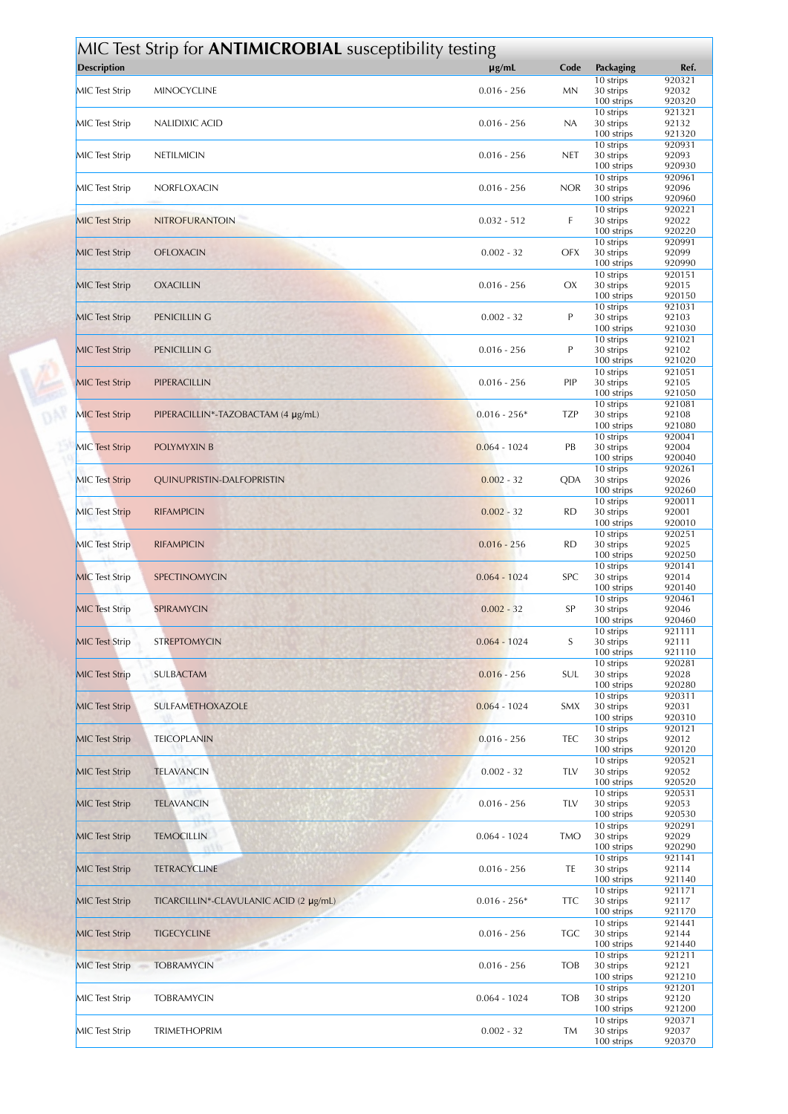|                       | MIC Test Strip for <b>ANTIMICROBIAL</b> susceptibility testing |                |            |                         |                  |
|-----------------------|----------------------------------------------------------------|----------------|------------|-------------------------|------------------|
| <b>Description</b>    |                                                                | $\mu$ g/mL     | Code       | Packaging               | Ref.             |
|                       |                                                                |                |            | 10 strips               | 920321           |
| <b>MIC</b> Test Strip | <b>MINOCYCLINE</b>                                             | $0.016 - 256$  | <b>MN</b>  | 30 strips               | 92032            |
|                       |                                                                |                |            | 100 strips<br>10 strips | 920320<br>921321 |
| <b>MIC</b> Test Strip | NALIDIXIC ACID                                                 | $0.016 - 256$  | NA         | 30 strips               | 92132            |
|                       |                                                                |                |            | 100 strips              | 921320           |
|                       |                                                                |                |            | 10 strips               | 920931           |
| <b>MIC</b> Test Strip | NETILMICIN                                                     | $0.016 - 256$  | <b>NET</b> | 30 strips<br>100 strips | 92093<br>920930  |
|                       |                                                                |                |            | 10 strips               | 920961           |
| <b>MIC</b> Test Strip | NORFLOXACIN                                                    | $0.016 - 256$  | <b>NOR</b> | 30 strips               | 92096            |
|                       |                                                                |                |            | 100 strips              | 920960           |
| <b>MIC</b> Test Strip | <b>NITROFURANTOIN</b>                                          | $0.032 - 512$  | F          | 10 strips<br>30 strips  | 920221<br>92022  |
|                       |                                                                |                |            | 100 strips              | 920220           |
|                       |                                                                |                |            | 10 strips               | 920991           |
| <b>MIC</b> Test Strip | <b>OFLOXACIN</b>                                               | $0.002 - 32$   | OFX        | 30 strips               | 92099            |
|                       |                                                                |                |            | 100 strips<br>10 strips | 920990<br>920151 |
| <b>MIC</b> Test Strip | <b>OXACILLIN</b>                                               | $0.016 - 256$  | OX         | 30 strips               | 92015            |
|                       |                                                                |                |            | 100 strips              | 920150           |
| <b>MIC</b> Test Strip | PENICILLIN G                                                   | $0.002 - 32$   | P          | 10 strips<br>30 strips  | 921031<br>92103  |
|                       |                                                                |                |            | 100 strips              | 921030           |
|                       |                                                                |                |            | 10 strips               | 921021           |
| <b>MIC</b> Test Strip | PENICILLIN G                                                   | $0.016 - 256$  | P          | 30 strips               | 92102            |
|                       |                                                                |                |            | 100 strips<br>10 strips | 921020<br>921051 |
| <b>MIC Test Strip</b> | PIPERACILLIN                                                   | $0.016 - 256$  | PIP        | 30 strips               | 92105            |
|                       |                                                                |                |            | 100 strips              | 921050           |
|                       |                                                                |                |            | 10 strips               | 921081           |
| <b>MIC</b> Test Strip | PIPERACILLIN*-TAZOBACTAM (4 µg/mL)                             | $0.016 - 256*$ | <b>TZP</b> | 30 strips<br>100 strips | 92108<br>921080  |
|                       |                                                                |                |            | 10 strips               | 920041           |
| <b>MIC Test Strip</b> | POLYMYXIN B                                                    | $0.064 - 1024$ | PB         | 30 strips               | 92004            |
|                       |                                                                |                |            | 100 strips              | 920040           |
| <b>MIC Test Strip</b> | QUINUPRISTIN-DALFOPRISTIN                                      | $0.002 - 32$   | QDA        | 10 strips<br>30 strips  | 920261<br>92026  |
|                       |                                                                |                |            | 100 strips              | 920260           |
|                       |                                                                |                |            | 10 strips               | 920011           |
| <b>MIC</b> Test Strip | <b>RIFAMPICIN</b>                                              | $0.002 - 32$   | <b>RD</b>  | 30 strips<br>100 strips | 92001<br>920010  |
|                       |                                                                |                |            | 10 strips               | 920251           |
| <b>MIC Test Strip</b> | <b>RIFAMPICIN</b>                                              | $0.016 - 256$  | <b>RD</b>  | 30 strips               | 92025            |
|                       |                                                                |                |            | 100 strips              | 920250           |
| <b>MIC</b> Test Strip | SPECTINOMYCIN                                                  | $0.064 - 1024$ | <b>SPC</b> | 10 strips<br>30 strips  | 920141<br>92014  |
|                       |                                                                |                |            | 100 strips              | 920140           |
|                       |                                                                |                |            | 10 strips               | 920461           |
| <b>MIC</b> Test Strip | SPIRAMYCIN                                                     | $0.002 - 32$   | SP         | 30 strips<br>100 strips | 92046<br>920460  |
|                       |                                                                |                |            | 10 strips               | 921111           |
| <b>MIC Test Strip</b> | <b>STREPTOMYCIN</b>                                            | $0.064 - 1024$ | S          | 30 strips               | 92111            |
|                       |                                                                |                |            | 100 strips              | 921110           |
| <b>MIC</b> Test Strip | <b>SULBACTAM</b>                                               | $0.016 - 256$  | <b>SUL</b> | 10 strips<br>30 strips  | 920281<br>92028  |
|                       |                                                                |                |            | 100 strips              | 920280           |
|                       |                                                                |                |            | 10 strips               | 920311           |
| <b>MIC</b> Test Strip | SULFAMETHOXAZOLE                                               | $0.064 - 1024$ | SMX        | 30 strips<br>100 strips | 92031<br>920310  |
|                       |                                                                |                |            | 10 strips               | 920121           |
| <b>MIC</b> Test Strip | <b>TEICOPLANIN</b>                                             | $0.016 - 256$  | TEC        | 30 strips               | 92012            |
|                       |                                                                |                |            | 100 strips              | 920120           |
| <b>MIC</b> Test Strip | <b>TELAVANCIN</b>                                              | $0.002 - 32$   | TLV        | 10 strips<br>30 strips  | 920521<br>92052  |
|                       |                                                                |                |            | 100 strips              | 920520           |
|                       |                                                                |                |            | 10 strips               | 920531           |
| <b>MIC</b> Test Strip | <b>TELAVANCIN</b>                                              | $0.016 - 256$  | TLV        | 30 strips               | 92053            |
|                       |                                                                |                |            | 100 strips<br>10 strips | 920530<br>920291 |
| <b>MIC</b> Test Strip | <b>TEMOCILLIN</b>                                              | $0.064 - 1024$ | <b>TMO</b> | 30 strips               | 92029            |
|                       |                                                                |                |            | 100 strips              | 920290           |
|                       |                                                                |                | TE         | 10 strips               | 921141           |
| <b>MIC Test Strip</b> | <b>TETRACYCLINE</b>                                            | $0.016 - 256$  |            | 30 strips<br>100 strips | 92114<br>921140  |
|                       |                                                                |                |            | 10 strips               | 921171           |
| <b>MIC</b> Test Strip | TICARCILLIN*-CLAVULANIC ACID (2 µg/mL)                         | $0.016 - 256*$ | <b>TTC</b> | 30 strips               | 92117            |
|                       |                                                                |                |            | 100 strips              | 921170           |
| <b>MIC</b> Test Strip | <b>TIGECYCLINE</b>                                             | $0.016 - 256$  | <b>TGC</b> | 10 strips<br>30 strips  | 921441<br>92144  |
|                       |                                                                |                |            | 100 strips              | 921440           |
|                       |                                                                |                |            | 10 strips               | 921211           |
| <b>MIC Test Strip</b> | <b>TOBRAMYCIN</b>                                              | $0.016 - 256$  | <b>TOB</b> | 30 strips<br>100 strips | 92121<br>921210  |
|                       |                                                                |                |            | 10 strips               | 921201           |
| <b>MIC</b> Test Strip | <b>TOBRAMYCIN</b>                                              | $0.064 - 1024$ | <b>TOB</b> | 30 strips               | 92120            |
|                       |                                                                |                |            | 100 strips              | 921200           |
| <b>MIC</b> Test Strip | <b>TRIMETHOPRIM</b>                                            | $0.002 - 32$   | TM         | 10 strips<br>30 strips  | 920371<br>92037  |
|                       |                                                                |                |            | 100 strips              | 920370           |

DAP<br>DAP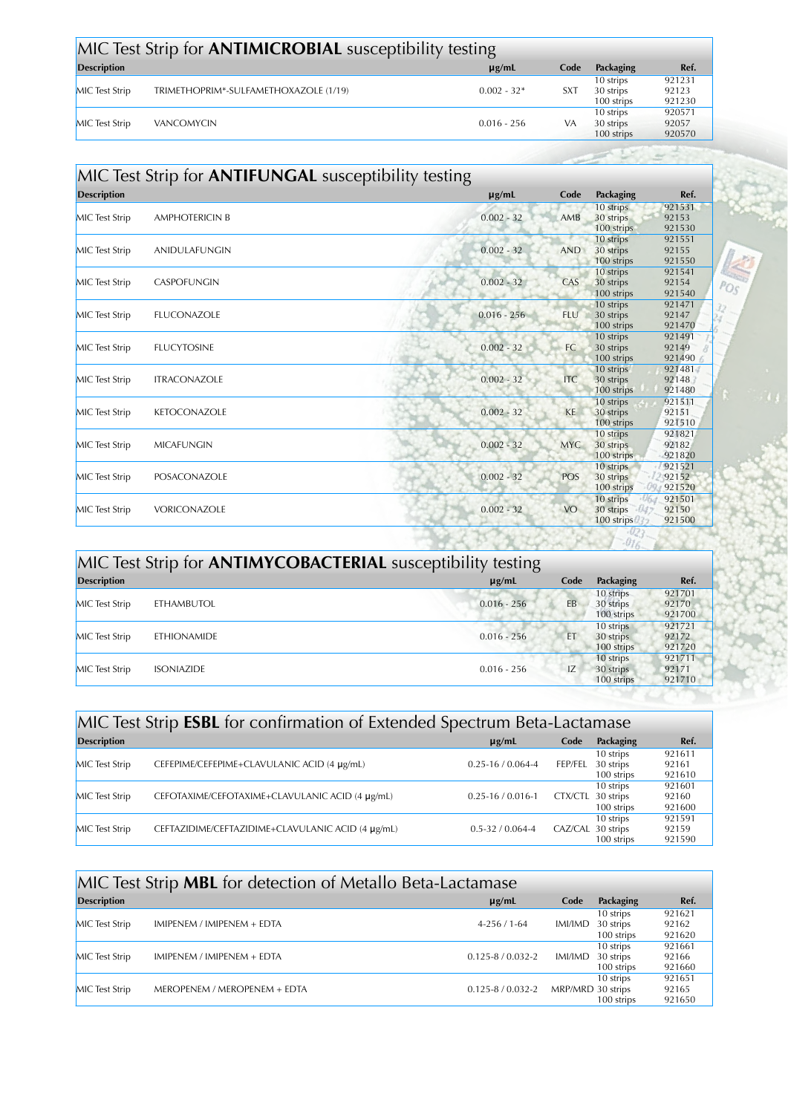| MIC Test Strip for <b>ANTIMICROBIAL</b> susceptibility testing |                                       |               |            |                                      |                           |  |
|----------------------------------------------------------------|---------------------------------------|---------------|------------|--------------------------------------|---------------------------|--|
| <b>Description</b>                                             |                                       | $\mu$ g/mL    | Code       | Packaging                            | Ref.                      |  |
| <b>MIC</b> Test Strip                                          | TRIMETHOPRIM*-SULFAMETHOXAZOLE (1/19) | $0.002 - 32*$ | <b>SXT</b> | 10 strips<br>30 strips<br>100 strips | 921231<br>92123<br>921230 |  |
| <b>MIC</b> Test Strip                                          | <b>VANCOMYCIN</b>                     | $0.016 - 256$ | VA         | 10 strips<br>30 strips<br>100 strips | 920571<br>92057<br>920570 |  |

 $\sim$  3

 $POS$  $\frac{32}{24}$ 

| <b>Description</b>    |                       | $\mu$ g/mL    | Code       | Packaging                            | Ref.                      |
|-----------------------|-----------------------|---------------|------------|--------------------------------------|---------------------------|
| <b>MIC</b> Test Strip | <b>AMPHOTERICIN B</b> | $0.002 - 32$  | AMB        | 10 strips<br>30 strips<br>100 strips | 921531<br>92153<br>921530 |
| <b>MIC</b> Test Strip | ANIDULAFUNGIN         | $0.002 - 32$  | <b>AND</b> | 10 strips<br>30 strips<br>100 strips | 921551<br>92155<br>921550 |
| <b>MIC</b> Test Strip | <b>CASPOFUNGIN</b>    | $0.002 - 32$  | CAS        | 10 strips<br>30 strips<br>100 strips | 921541<br>92154<br>921540 |
| <b>MIC</b> Test Strip | FLUCONAZOLE           | $0.016 - 256$ | <b>FLU</b> | 10 strips<br>30 strips<br>100 strips | 921471<br>92147<br>921470 |
| <b>MIC</b> Test Strip | <b>FLUCYTOSINE</b>    | $0.002 - 32$  | FC         | 10 strips<br>30 strips<br>100 strips | 921491<br>92149<br>921490 |
| <b>MIC</b> Test Strip | <b>ITRACONAZOLE</b>   | $0.002 - 32$  | <b>ITC</b> | 10 strips<br>30 strips<br>100 strips | 921481<br>92148<br>921480 |
| <b>MIC</b> Test Strip | <b>KETOCONAZOLE</b>   | $0.002 - 32$  | KE         | 10 strips<br>30 strips<br>100 strips | 921511<br>92151<br>921510 |
| <b>MIC</b> Test Strip | <b>MICAFUNGIN</b>     | $0.002 - 32$  | <b>MYC</b> | 10 strips<br>30 strips<br>100 strips | 921821<br>92182<br>921820 |
| <b>MIC</b> Test Strip | POSACONAZOLE          | $0.002 - 32$  | POS        | 10 strips<br>30 strips<br>100 strips | 921521<br>92152<br>921520 |
| <b>MIC</b> Test Strip | VORICONAZOLE          | $0.002 - 32$  | <b>VO</b>  | 10 strips<br>30 strips<br>100 strips | 921501<br>92150<br>921500 |

| MIC Test Strip for <b>ANTIMYCOBACTERIAL</b> susceptibility testing |                    |               |      |                                      |                           |
|--------------------------------------------------------------------|--------------------|---------------|------|--------------------------------------|---------------------------|
| <b>Description</b>                                                 |                    | $\mu$ g/mL    | Code | Packaging                            | Ref.                      |
| <b>MIC</b> Test Strip                                              | <b>ETHAMBUTOL</b>  | $0.016 - 256$ | EB   | 10 strips<br>30 strips<br>100 strips | 921701<br>92170<br>921700 |
| <b>MIC</b> Test Strip                                              | <b>ETHIONAMIDE</b> | $0.016 - 256$ | ET   | 10 strips<br>30 strips<br>100 strips | 921721<br>92172<br>921720 |
| <b>MIC</b> Test Strip                                              | <b>ISONIAZIDE</b>  | $0.016 - 256$ | IZ   | 10 strips<br>30 strips<br>100 strips | 921711<br>92171<br>921710 |

| MIC Test Strip <b>ESBL</b> for confirmation of Extended Spectrum Beta-Lactamase |                                                   |                         |                   |                                      |                           |  |
|---------------------------------------------------------------------------------|---------------------------------------------------|-------------------------|-------------------|--------------------------------------|---------------------------|--|
| <b>Description</b>                                                              |                                                   | $\mu$ g/mL              | Code              | Packaging                            | Ref.                      |  |
| <b>MIC</b> Test Strip                                                           | CEFEPIME/CEFEPIME+CLAVULANIC ACID (4 µg/mL)       | $0.25 - 16 / 0.064 - 4$ | FEP/FEL           | 10 strips<br>30 strips<br>100 strips | 921611<br>92161<br>921610 |  |
| <b>MIC</b> Test Strip                                                           | CEFOTAXIME/CEFOTAXIME+CLAVULANIC ACID (4 µg/mL)   | $0.25 - 16 / 0.016 - 1$ | CTX/CTL 30 strips | 10 strips<br>100 strips              | 921601<br>92160<br>921600 |  |
| <b>MIC</b> Test Strip                                                           | CEFTAZIDIME/CEFTAZIDIME+CLAVULANIC ACID (4 µg/mL) | $0.5 - 32 / 0.064 - 4$  | CAZ/CAL 30 strips | 10 strips<br>100 strips              | 921591<br>92159<br>921590 |  |

| MIC Test Strip MBL for detection of Metallo Beta-Lactamase |                              |                         |                   |                                      |                           |
|------------------------------------------------------------|------------------------------|-------------------------|-------------------|--------------------------------------|---------------------------|
| <b>Description</b>                                         |                              | $\mu$ g/mL              | Code              | Packaging                            | Ref.                      |
| <b>MIC</b> Test Strip                                      | IMIPENEM / IMIPENEM + EDTA   | $4-256/1-64$            | IMI/IMD           | 10 strips<br>30 strips<br>100 strips | 921621<br>92162<br>921620 |
| <b>MIC</b> Test Strip                                      | IMIPENEM / IMIPENEM + EDTA   | $0.125 - 8/0.032 - 2$   | IMI/IMD           | 10 strips<br>30 strips<br>100 strips | 921661<br>92166<br>921660 |
| <b>MIC</b> Test Strip                                      | MEROPENEM / MEROPENEM + EDTA | $0.125 - 8 / 0.032 - 2$ | MRP/MRD 30 strips | 10 strips<br>100 strips              | 921651<br>92165<br>921650 |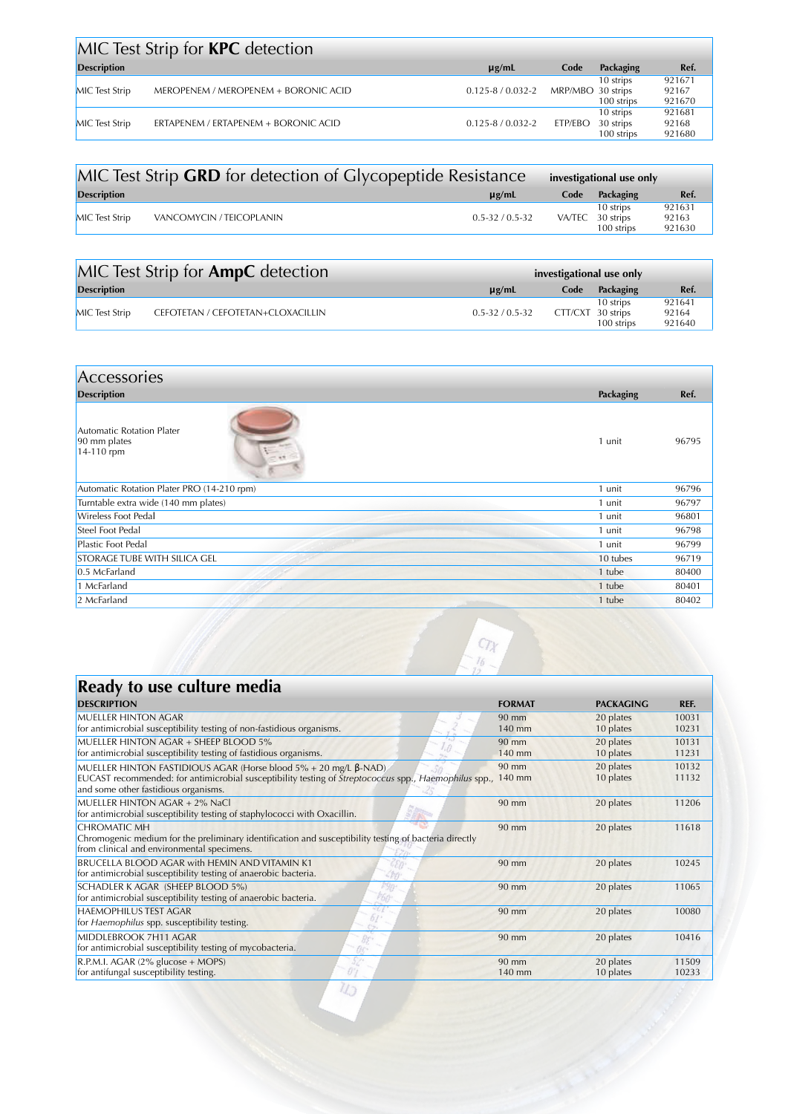|                       | MIC Test Strip for <b>KPC</b> detection |                         |                   |                                      |                           |
|-----------------------|-----------------------------------------|-------------------------|-------------------|--------------------------------------|---------------------------|
| <b>Description</b>    |                                         | $\mu$ g/mL              | Code              | Packaging                            | Ref.                      |
| <b>MIC</b> Test Strip | MEROPENEM / MEROPENEM + BORONIC ACID    | $0.125 - 8 / 0.032 - 2$ | MRP/MBO 30 strips | 10 strips<br>100 strips              | 921671<br>92167<br>921670 |
| <b>MIC</b> Test Strip | ERTAPENEM / ERTAPENEM + BORONIC ACID    | $0.125 - 8 / 0.032 - 2$ | ETP/EBO           | 10 strips<br>30 strips<br>100 strips | 921681<br>92168<br>921680 |

| MIC Test Strip GRD for detection of Glycopeptide Resistance | investigational use only |      |                                             |                           |
|-------------------------------------------------------------|--------------------------|------|---------------------------------------------|---------------------------|
| <b>Description</b>                                          | $\mu$ g/mL               | Code | Packaging                                   | Ref.                      |
| VANCOMYCIN / TEICOPLANIN<br><b>MIC</b> Test Strip           | $0.5 - 32 / 0.5 - 32$    |      | 10 strips<br>VA/TEC 30 strips<br>100 strips | 921631<br>92163<br>921630 |

|                       | MIC Test Strip for <b>AmpC</b> detection | investigational use only |                   |                         |                           |
|-----------------------|------------------------------------------|--------------------------|-------------------|-------------------------|---------------------------|
| <b>Description</b>    |                                          | $\mu$ g/mL               | Code              | Packaging               | Ref.                      |
| <b>MIC</b> Test Strip | CEFOTETAN / CEFOTETAN+CLOXACILLIN        | $0.5 - 32 / 0.5 - 32$    | CTT/CXT 30 strips | 10 strips<br>100 strips | 921641<br>92164<br>921640 |

| Accessories                                                    |           |       |
|----------------------------------------------------------------|-----------|-------|
| <b>Description</b>                                             | Packaging | Ref.  |
| <b>Automatic Rotation Plater</b><br>90 mm plates<br>14-110 rpm | 1 unit    | 96795 |
| Automatic Rotation Plater PRO (14-210 rpm)                     | 1 unit    | 96796 |
| Turntable extra wide (140 mm plates)                           | 1 unit    | 96797 |
| Wireless Foot Pedal                                            | 1 unit    | 96801 |
| Steel Foot Pedal                                               | 1 unit    | 96798 |
| Plastic Foot Pedal                                             | 1 unit    | 96799 |
| STORAGE TUBE WITH SILICA GEL                                   | 10 tubes  | 96719 |
| 0.5 McFarland                                                  | 1 tube    | 80400 |
| 1 McFarland                                                    | 1 tube    | 80401 |
| 2 McFarland                                                    | 1 tube    | 80402 |

 $\begin{array}{c}\n\overline{CTX} \\
\overline{AB} \\
\overline{AB} \\
\overline{AB} \\
\overline{AB} \\
\overline{AB} \\
\overline{AB} \\
\overline{AB} \\
\overline{AB} \\
\overline{AB} \\
\overline{AB} \\
\overline{AB} \\
\overline{AB} \\
\overline{AB} \\
\overline{AB} \\
\overline{AB} \\
\overline{AB} \\
\overline{AB} \\
\overline{AB} \\
\overline{AB} \\
\overline{AB} \\
\overline{AB} \\
\overline{AB} \\
\overline{AB} \\
\overline{AB} \\
\overline{AB} \\
\overline{AB} \\
\overline{AB} \\
\overline{AB} \\
\overline{AB} \\
\$ 

| Ready to use culture media                                                                                                                                                                                                               |                           |                        |                |
|------------------------------------------------------------------------------------------------------------------------------------------------------------------------------------------------------------------------------------------|---------------------------|------------------------|----------------|
| <b>DESCRIPTION</b>                                                                                                                                                                                                                       | <b>FORMAT</b>             | <b>PACKAGING</b>       | REF.           |
| <b>MUFLLER HINTON AGAR</b><br>for antimicrobial susceptibility testing of non-fastidious organisms.                                                                                                                                      | $90 \text{ mm}$<br>140 mm | 20 plates<br>10 plates | 10031<br>10231 |
| MUELLER HINTON AGAR + SHEEP BLOOD 5%<br>for antimicrobial susceptibility testing of fastidious organisms.                                                                                                                                | $90 \text{ mm}$<br>140 mm | 20 plates<br>10 plates | 10131<br>11231 |
| MUELLER HINTON FASTIDIOUS AGAR (Horse blood $5\% + 20$ mg/L $\beta$ -NAD)<br>EUCAST recommended: for antimicrobial susceptibility testing of <i>Streptococcus</i> spp., <i>Haemophilus</i> spp.,<br>and some other fastidious organisms. | $90 \text{ mm}$<br>140 mm | 20 plates<br>10 plates | 10132<br>11132 |
| <b>MUELLER HINTON AGAR + 2% NaCl</b><br>for antimicrobial susceptibility testing of staphylococci with Oxacillin.                                                                                                                        | 90 mm                     | 20 plates              | 11206          |
| 使い<br><b>CHROMATIC MH</b><br>Chromogenic medium for the preliminary identification and susceptibility testing of bacteria directly<br>from clinical and environmental specimens.                                                         | $90 \text{ mm}$           | 20 plates              | 11618          |
| BRUCELLA BLOOD AGAR with HEMIN AND VITAMIN K1<br>for antimicrobial susceptibility testing of anaerobic bacteria.                                                                                                                         | $90 \text{ mm}$           | 20 plates              | 10245          |
| SCHADLER K AGAR (SHEEP BLOOD 5%)<br>for antimicrobial susceptibility testing of anaerobic bacteria.                                                                                                                                      | $90 \text{ mm}$           | 20 plates              | 11065          |
| <b>HAFMOPHILUS TEST AGAR</b><br>for Haemophilus spp. susceptibility testing.                                                                                                                                                             | $90 \text{ mm}$           | 20 plates              | 10080          |
| MIDDLEBROOK 7H11 AGAR<br>for antimicrobial susceptibility testing of mycobacteria.                                                                                                                                                       | 90 mm                     | 20 plates              | 10416          |
| R.P.M.I. AGAR $(2\%$ glucose + MOPS)<br>for antifungal susceptibility testing.                                                                                                                                                           | $90 \text{ mm}$<br>140 mm | 20 plates<br>10 plates | 11509<br>10233 |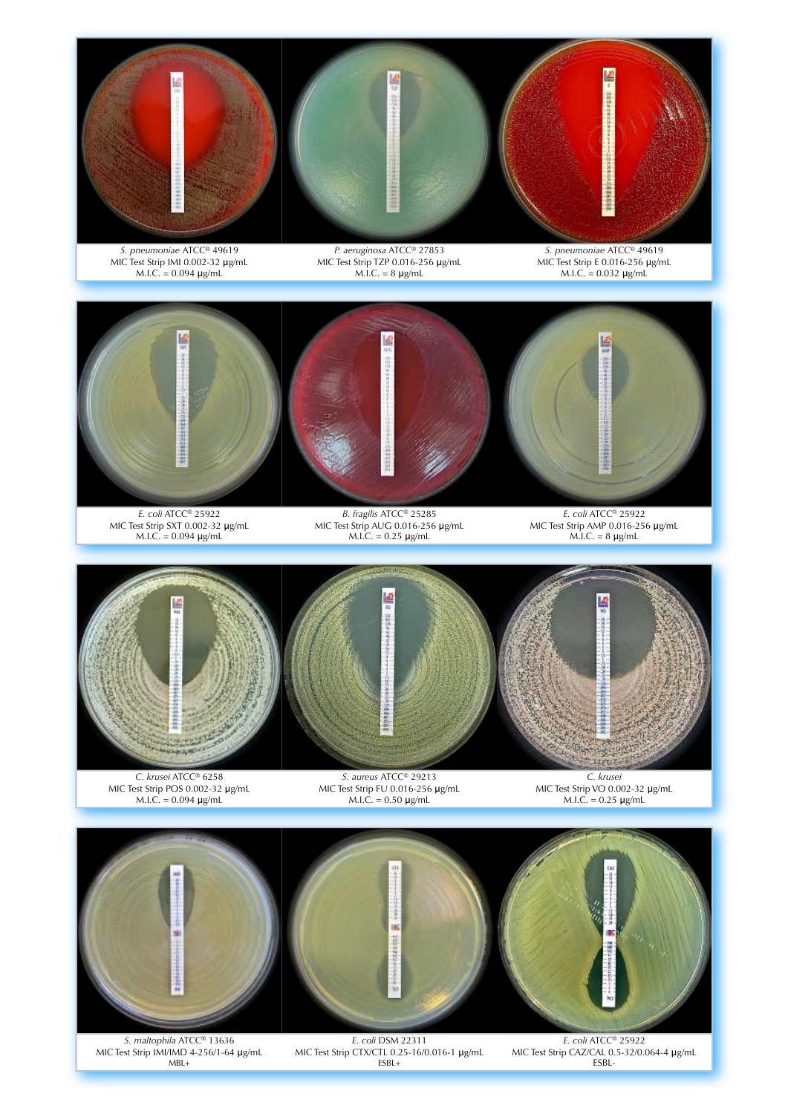



*C. krusei* ATCC® 6258 MIC Test Strip POS 0.002-32 μg/mL M.I.C. = 0.094 μg/mL

*S. aureus* ATCC® 29213 MIC Test Strip FU 0.016-256 μg/mL M.I.C. = 0.50 μg/mL

*C. krusei* MIC Test Strip VO 0.002-32 μg/mL  $M.I.C. = 0.25 \mu g/mL$ 



*S. maltophila* ATCC® 13636 MIC Test Strip IMI/IMD 4-256/1-64 μg/mL  $MBL+$ 

MIC Test Strip CTX/CTL 0.25-16/0.016-1 μg/mL ESBL+

*E. coli* ATCC® 25922 MIC Test Strip CAZ/CAL 0.5-32/0.064-4 μg/mL ESBL-